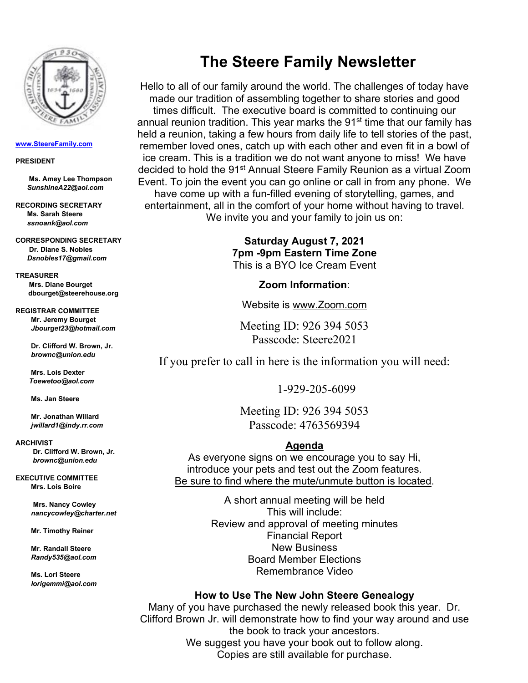

#### **[www.SteereFamily.com](http://www.steerefamily.com/)**

#### **PRESIDENT**

 **Ms. Amey Lee Thompson**  *SunshineA22@aol.com*

**RECORDING SECRETARY Ms. Sarah Steere**  *ssnoank@aol.com*

**CORRESPONDING SECRETARY Dr. Diane S. Nobles** *[Dsnobles17@gmail.com](mailto:Dsnobles17@gmail.com)*

**TREASURER Mrs. Diane Bourget  [dbourget@steerehouse.org](mailto:dbourget@steerehouse.org)**

**REGISTRAR COMMITTEE Mr. Jeremy Bourget**  *Jbourget23@hotmail.com*

> **Dr. Clifford W. Brown, Jr.** *brownc@union.edu*

 **Mrs. Lois Dexter**  *Toewetoo@aol.com*

**Ms. Jan Steere**

**Mr. Jonathan Willard** *jwillard1@indy.rr.com*

**ARCHIVIST Dr. Clifford W. Brown, Jr.**  *brownc@union.edu*

**EXECUTIVE COMMITTEE**

**Mrs. Lois Boire**

**Mrs. Nancy Cowley** *nancycowley@charter.net* 

 **Mr. Timothy Reiner**

 **Mr. Randall Steere** *Randy535@aol.com*

 **Ms. Lori Steere**   *lorigemmi@aol.com*

# **The Steere Family Newsletter**

Hello to all of our family around the world. The challenges of today have made our tradition of assembling together to share stories and good times difficult. The executive board is committed to continuing our annual reunion tradition. This year marks the  $91<sup>st</sup>$  time that our family has held a reunion, taking a few hours from daily life to tell stories of the past, remember loved ones, catch up with each other and even fit in a bowl of ice cream. This is a tradition we do not want anyone to miss! We have decided to hold the 91<sup>st</sup> Annual Steere Family Reunion as a virtual Zoom Event. To join the event you can go online or call in from any phone. We have come up with a fun-filled evening of storytelling, games, and entertainment, all in the comfort of your home without having to travel. We invite you and your family to join us on:

> **Saturday August 7, 2021 7pm -9pm Eastern Time Zone** This is a BYO Ice Cream Event

> > **Zoom Information**:

Website is www.Zoom.com

Meeting ID: 926 394 5053 Passcode: Steere2021

If you prefer to call in here is the information you will need:

1-929-205-6099

Meeting ID: 926 394 5053 Passcode: 4763569394

### **Agenda**

As everyone signs on we encourage you to say Hi, introduce your pets and test out the Zoom features. Be sure to find where the mute/unmute button is located.

> A short annual meeting will be held This will include: Review and approval of meeting minutes Financial Report New Business Board Member Elections Remembrance Video

#### **How to Use The New John Steere Genealogy**

Many of you have purchased the newly released book this year. Dr. Clifford Brown Jr. will demonstrate how to find your way around and use the book to track your ancestors. We suggest you have your book out to follow along. Copies are still available for purchase.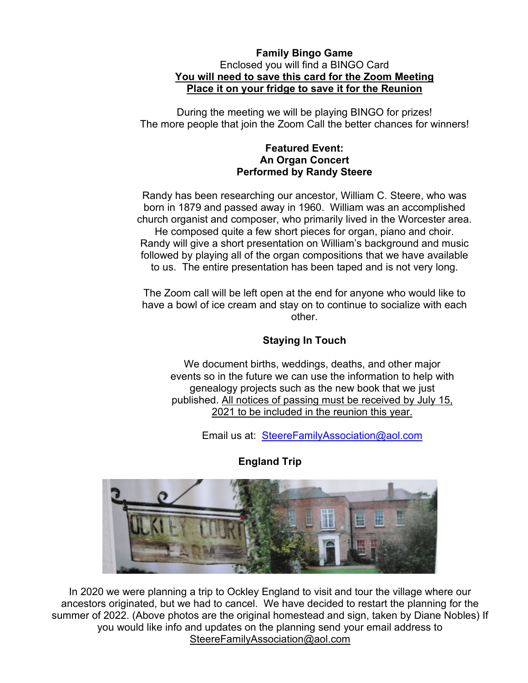### **Family Bingo Game** Enclosed you will find a BINGO Card **You will need to save this card for the Zoom Meeting Place it on your fridge to save it for the Reunion**

During the meeting we will be playing BINGO for prizes! The more people that join the Zoom Call the better chances for winners!

### **Featured Event: An Organ Concert Performed by Randy Steere**

Randy has been researching our ancestor, William C. Steere, who was born in 1879 and passed away in 1960. William was an accomplished church organist and composer, who primarily lived in the Worcester area. He composed quite a few short pieces for organ, piano and choir. Randy will give a short presentation on William's background and music followed by playing all of the organ compositions that we have available to us. The entire presentation has been taped and is not very long.

The Zoom call will be left open at the end for anyone who would like to have a bowl of ice cream and stay on to continue to socialize with each other.

## **Staying In Touch**

We document births, weddings, deaths, and other major events so in the future we can use the information to help with genealogy projects such as the new book that we just published. All notices of passing must be received by July 15, 2021 to be included in the reunion this year.

Email us at: [SteereFamilyAssociation@aol.com](mailto:SteereFamilyAssociation@aol.com)



## **England Trip**

In 2020 we were planning a trip to Ockley England to visit and tour the village where our ancestors originated, but we had to cancel. We have decided to restart the planning for the summer of 2022. (Above photos are the original homestead and sign, taken by Diane Nobles) If you would like info and updates on the planning send your email address to [SteereFamilyAssociation@aol.com](mailto:SteereFamilyAssociation@aol.com)